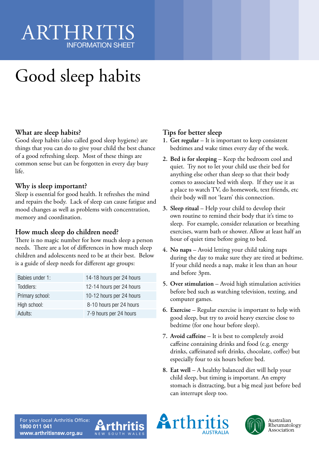# ARTHRIT INFORMATION SHEET

# Good sleep habits

#### **What are sleep habits?**

Good sleep habits (also called good sleep hygiene) are things that you can do to give your child the best chance of a good refreshing sleep. Most of these things are common sense but can be forgotten in every day busy life.

#### **Why is sleep important?**

Sleep is essential for good health. It refreshes the mind and repairs the body. Lack of sleep can cause fatigue and mood changes as well as problems with concentration, memory and coordination.

### **How much sleep do children need?**

There is no magic number for how much sleep a person needs. There are a lot of differences in how much sleep children and adolescents need to be at their best. Below is a guide of sleep needs for different age groups:

| Babies under 1: | 14-18 hours per 24 hours |
|-----------------|--------------------------|
| Toddlers:       | 12-14 hours per 24 hours |
| Primary school: | 10-12 hours per 24 hours |
| High school:    | 8-10 hours per 24 hours  |
| Adults:         | 7-9 hours per 24 hours   |

## **Tips for better sleep**

- **1. Get regular** It is important to keep consistent bedtimes and wake times every day of the week.
- **2. Bed is for sleeping**  Keep the bedroom cool and quiet. Try not to let your child use their bed for anything else other than sleep so that their body comes to associate bed with sleep. If they use it as a place to watch TV, do homework, text friends, etc their body will not 'learn' this connection.
- **3. Sleep ritual**  Help your child to develop their own routine to remind their body that it's time to sleep. For example, consider relaxation or breathing exercises, warm bath or shower. Allow at least half an hour of quiet time before going to bed.
- **4. No naps**  Avoid letting your child taking naps during the day to make sure they are tired at bedtime. If your child needs a nap, make it less than an hour and before 3pm.
- **5. Over stimulation**  Avoid high stimulation activities before bed such as watching television, texting, and computer games.
- **6. Exercise**  Regular exercise is important to help with good sleep, but try to avoid heavy exercise close to bedtime (for one hour before sleep).
- **7. Avoid caffeine**  It is best to completely avoid caffeine containing drinks and food (e.g. energy drinks, caffeinated soft drinks, chocolate, coffee) but especially four to six hours before bed.
- **8. Eat well**  A healthy balanced diet will help your child sleep, but timing is important. An empty stomach is distracting, but a big meal just before bed can interrupt sleep too.

For your local Arthritis Office: 1800 011 041 www.arthritisnsw.org.au